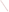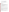# **Technical Factsheet on: ETHYLBENZENE**

[List of Contaminants](http://www.epa.gov/safewater/hfacts.html) 

 As part of the Drinking Water and Health pages, this fact sheet is part of a larger publication: **National Primary Drinking Water Regulations** 

# **Drinking Water Standards**

 MCL: 0.7 mg/L MCLG: 0.7 mg/L HAL(child): 1 day: 30 mg/L; 10-day: 3 mg/L

# **Health Effects Summary**

Acute: EPA has found ethylbenzene to potentially cause drowsiness, fatigue, headache and mild eye and respiratory irritation from short-term exposures at levels above the MCL.

Drinking water levels which are considered "safe" for short-term exposures: For a 10-kg (22 lb.) child consuming 1 liter of water per day: a one-day exposure to 30 mg/L; a ten-day exposure to 3 mg/L.

 and eyes from long-term exposure at levels above the MCL. Chronic: Ethylbenzene has the potential to cause damage to the liver, kidneys, central nervous system

 cancer from a lifetime exposure in drinking water. Cancer: There is inadequate evidence to state whether or not ethylbenzene has the potential to cause

#### **Usage Patterns**

greatest use - over 99 percent - of ethylbenzene is as an intermediate for styrene monomer production. Production of ethylbenzene has increased: from 6.9 billion lbs. in 1982 to 11.8 billion lbs in 1993. The

greatest use - over 99 percent - of ethylbenzene is as an intermediate for styrene monomer production.<br>Other uses include: a solvent for coatings, and in the production of synthetic rubber and cellulose acetate.

# **Release Patterns**

 Ethylbenzene will enter the atmosphere primarily from fugitive emissions and exhaust connected with its use in gasoline. More localized sources will be emissions, waste water and spills from its production and industrial use.

 releases to water occurred in Virginia. From 1987 to 1993, according to EPA's Toxic Chemical Release Inventory, ethylbenzene releases to water totalled over 47,293 lbs., while releases to land totalled over 714,000 lbs. These releases were primarily from petroleum refining industries. The largest releases occurred in Texas. The largest direct

#### **Environmental Fate**

 If ethylbenzene is released to the atmosphere, it will exist predominantly in the vapor phase, based on its vapor pressure. There it will photochemically degrade by reaction with hydroxyl radicals (half-life 0.5 to 2 days) and partially return to earth in rain. It will not be subject to direct photolysis.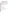gas oil, it is completely degraded in groundwater in 8 days and seawater in 10 days. No degradation was Ethylbenzene is resistant to hydrolysis. Some ethylbenzene may be adsorbed by sediment. Evaporation and biodegradation are significant in water. Ethylbenzene will evaporate rapidly from water: a half-life for evaporation from moving, shallow water is 3.1 hr. After a period of inocula adaptation, ethylbenzene is biodegraded fairly rapidly by sewage or activated sludge inoculua. As a component of observed in anaerobic reactors or at low concentrations in batch reactors under denitrifying conditions.

 Ethylbenzene is only adsorbed moderately by soil. The measured Koc for silt loam was 164. Its presence in bank infiltrated water suggests that there is a good probability of its leaching through soil. It will not significantly hydrolyze in water or soil.

 Significant bioconcentration in fish is not expected to occur. Experimental data on the bioconcentration of ethylbenzene include a log BCF of 1.9 in goldfish and 0.67 for clams exposed to the water-soluble fraction of crude oil. This, with a calculated log BCF of 2.16 in fish, indicate that ethylbenzene should not significantly bioconcentrate in aquatic organisms.

 The primary source of exposure is from the air especially in areas of high traffic. However, ethylbenzene gasoline storage tanks and for many drinking waters taken from surface waters. is a contaminant in many drinking water supplies and levels can be quite high for wells near leaking

# **Chemical/Physical Properties**

CAS Number: 100-41-4

Color/ Form/Odor: Colorless liquid with a sweet, gasoline-like odor

M.P.: -95 C B.P.: 136.2 C

Vapor Pressure: 10 mm Hg at 25.9 C

Density/Spec. Grav.: 0.87 at 20 C

Octanol/Water Partition (Kow): Log Kow = 3.15

Solubility: 0.14 g/L of water at 15 C; low solubility in water

Soil sorption coefficient: Koc measured at 164 silt loam; moderate mobility in soil

Odor/Taste Thresholds: Taste and odor threshold in water is 0.029 mg/L

Bioconcentration Factor: Measured log BCF values of 0.67 to 1.9 in fish; not expected to bioconcentrate in aquatic organisms.

Henry's Law Coefficient: 0.0084 atm-cu m/mole; rapid evaporation from water

Trade Names/Synonyms: Ethylbenzol, Phenylethane

#### **Other Regulatory Information**

Monitoring:

-- For Ground/Surface Water Sources: